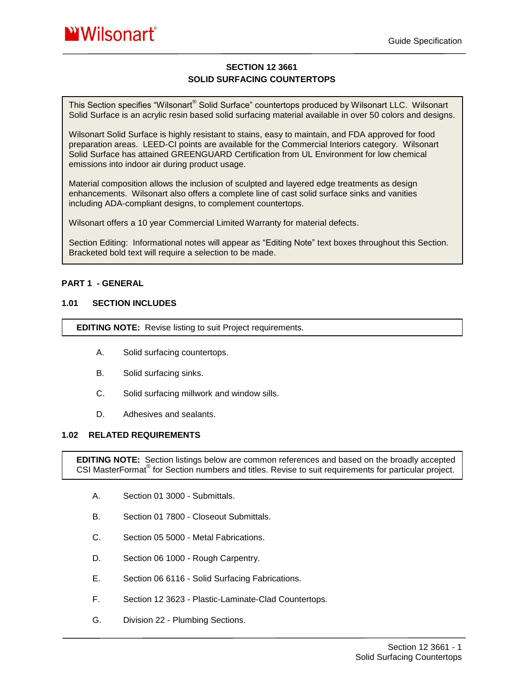# **SECTION 12 3661 SOLID SURFACING COUNTERTOPS**

This Section specifies "Wilsonart® Solid Surface" countertops produced by Wilsonart LLC. Wilsonart Solid Surface is an acrylic resin based solid surfacing material available in over 50 colors and designs.

Wilsonart Solid Surface is highly resistant to stains, easy to maintain, and FDA approved for food preparation areas. LEED-CI points are available for the Commercial Interiors category. Wilsonart Solid Surface has attained GREENGUARD Certification from UL Environment for low chemical emissions into indoor air during product usage.

Material composition allows the inclusion of sculpted and layered edge treatments as design enhancements. Wilsonart also offers a complete line of cast solid surface sinks and vanities including ADA-compliant designs, to complement countertops.

Wilsonart offers a 10 year Commercial Limited Warranty for material defects.

Section Editing: Informational notes will appear as "Editing Note" text boxes throughout this Section. Bracketed bold text will require a selection to be made.

## **PART 1 - GENERAL**

## **1.01 SECTION INCLUDES**

**EDITING NOTE:** Revise listing to suit Project requirements.

- A. Solid surfacing countertops.
- B. Solid surfacing sinks.
- C. Solid surfacing millwork and window sills.
- D. Adhesives and sealants.

#### **1.02 RELATED REQUIREMENTS**

**EDITING NOTE:** Section listings below are common references and based on the broadly accepted CSI MasterFormat<sup>®</sup> for Section numbers and titles. Revise to suit requirements for particular project.

- A. Section 01 3000 Submittals.
- B. Section 01 7800 Closeout Submittals.
- C. Section 05 5000 Metal Fabrications.
- D. Section 06 1000 Rough Carpentry.
- E. Section 06 6116 Solid Surfacing Fabrications.
- F. Section 12 3623 Plastic-Laminate-Clad Countertops.
- G. Division 22 Plumbing Sections.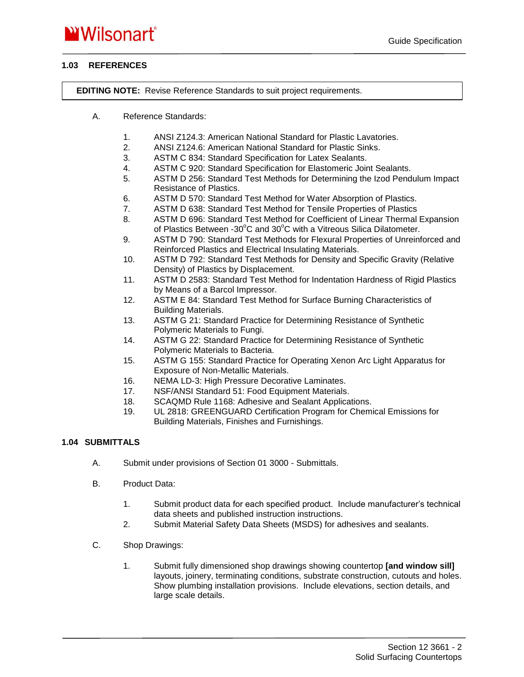# **1.03 REFERENCES**

**EDITING NOTE:** Revise Reference Standards to suit project requirements.

- A. Reference Standards:
	- 1. ANSI Z124.3: American National Standard for Plastic Lavatories.
	- 2. ANSI Z124.6: American National Standard for Plastic Sinks.
	- 3. ASTM C 834: Standard Specification for Latex Sealants.
	- 4. ASTM C 920: Standard Specification for Elastomeric Joint Sealants.
	- 5. ASTM D 256: Standard Test Methods for Determining the Izod Pendulum Impact Resistance of Plastics.
	- 6. ASTM D 570: Standard Test Method for Water Absorption of Plastics.
	- 7. ASTM D 638: Standard Test Method for Tensile Properties of Plastics
	- 8. ASTM D 696: Standard Test Method for Coefficient of Linear Thermal Expansion of Plastics Between -30 $^{\circ}$ C and 30 $^{\circ}$ C with a Vitreous Silica Dilatometer.
	- 9. ASTM D 790: Standard Test Methods for Flexural Properties of Unreinforced and Reinforced Plastics and Electrical Insulating Materials.
	- 10. ASTM D 792: Standard Test Methods for Density and Specific Gravity (Relative Density) of Plastics by Displacement.
	- 11. ASTM D 2583: Standard Test Method for Indentation Hardness of Rigid Plastics by Means of a Barcol Impressor.
	- 12. ASTM E 84: Standard Test Method for Surface Burning Characteristics of Building Materials.
	- 13. ASTM G 21: Standard Practice for Determining Resistance of Synthetic Polymeric Materials to Fungi.
	- 14. ASTM G 22: Standard Practice for Determining Resistance of Synthetic Polymeric Materials to Bacteria.
	- 15. ASTM G 155: Standard Practice for Operating Xenon Arc Light Apparatus for Exposure of Non-Metallic Materials.
	- 16. NEMA LD-3: High Pressure Decorative Laminates.
	- 17. NSF/ANSI Standard 51: Food Equipment Materials.
	- 18. SCAQMD Rule 1168: Adhesive and Sealant Applications.
	- 19. UL 2818: GREENGUARD Certification Program for Chemical Emissions for Building Materials, Finishes and Furnishings.

# **1.04 SUBMITTALS**

- A. Submit under provisions of Section 01 3000 Submittals.
- B. Product Data:
	- 1. Submit product data for each specified product. Include manufacturer's technical data sheets and published instruction instructions.
	- 2. Submit Material Safety Data Sheets (MSDS) for adhesives and sealants.
- C. Shop Drawings:
	- 1. Submit fully dimensioned shop drawings showing countertop **[and window sill]** layouts, joinery, terminating conditions, substrate construction, cutouts and holes. Show plumbing installation provisions. Include elevations, section details, and large scale details.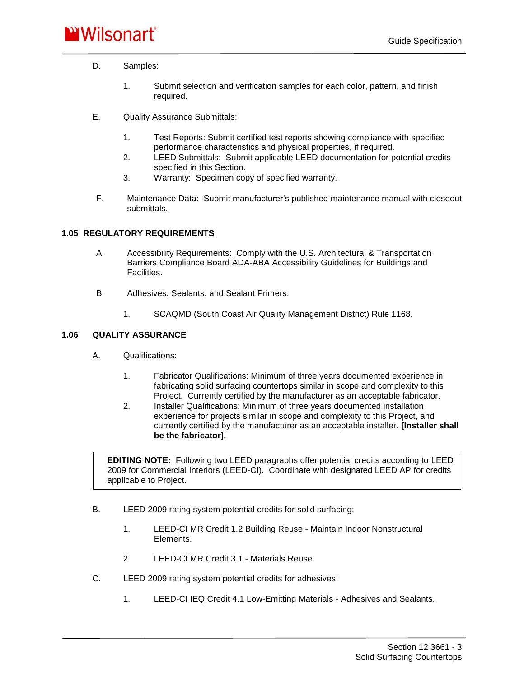- D. Samples:
	- 1. Submit selection and verification samples for each color, pattern, and finish required.
- E. Quality Assurance Submittals:
	- 1. Test Reports: Submit certified test reports showing compliance with specified performance characteristics and physical properties, if required.
	- 2. LEED Submittals: Submit applicable LEED documentation for potential credits specified in this Section.
	- 3. Warranty: Specimen copy of specified warranty.
- F. Maintenance Data: Submit manufacturer's published maintenance manual with closeout submittals.

# **1.05 REGULATORY REQUIREMENTS**

- A. Accessibility Requirements: Comply with the U.S. Architectural & Transportation Barriers Compliance Board ADA-ABA Accessibility Guidelines for Buildings and Facilities.
- B. Adhesives, Sealants, and Sealant Primers:
	- 1. SCAQMD (South Coast Air Quality Management District) Rule 1168.

# **1.06 QUALITY ASSURANCE**

- A. Qualifications:
	- 1. Fabricator Qualifications: Minimum of three years documented experience in fabricating solid surfacing countertops similar in scope and complexity to this Project. Currently certified by the manufacturer as an acceptable fabricator.
	- 2. Installer Qualifications: Minimum of three years documented installation experience for projects similar in scope and complexity to this Project, and currently certified by the manufacturer as an acceptable installer. **[Installer shall be the fabricator].**

**EDITING NOTE:** Following two LEED paragraphs offer potential credits according to LEED 2009 for Commercial Interiors (LEED-CI). Coordinate with designated LEED AP for credits applicable to Project.

- B. LEED 2009 rating system potential credits for solid surfacing:
	- 1. LEED-CI MR Credit 1.2 Building Reuse Maintain Indoor Nonstructural Elements.
	- 2. LEED-CI MR Credit 3.1 Materials Reuse.
- C. LEED 2009 rating system potential credits for adhesives:
	- 1. LEED-CI IEQ Credit 4.1 Low-Emitting Materials Adhesives and Sealants.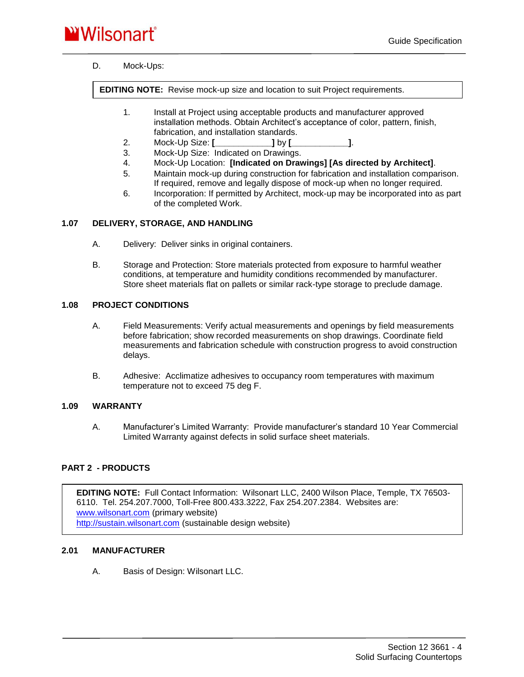# **WWilsonart**®

# D. Mock-Ups:

**EDITING NOTE:** Revise mock-up size and location to suit Project requirements.

- 1. Install at Project using acceptable products and manufacturer approved installation methods. Obtain Architect's acceptance of color, pattern, finish, fabrication, and installation standards.
- 2. Mock-Up Size: **[\_\_\_\_\_\_\_\_\_\_\_\_]** by **[\_\_\_\_\_\_\_\_\_\_\_\_]**.
- 3. Mock-Up Size: Indicated on Drawings.
- 4. Mock-Up Location: **[Indicated on Drawings] [As directed by Architect]**.
- 5. Maintain mock-up during construction for fabrication and installation comparison. If required, remove and legally dispose of mock-up when no longer required.
- 6. Incorporation: If permitted by Architect, mock-up may be incorporated into as part of the completed Work.

## **1.07 DELIVERY, STORAGE, AND HANDLING**

- A. Delivery: Deliver sinks in original containers.
- B. Storage and Protection: Store materials protected from exposure to harmful weather conditions, at temperature and humidity conditions recommended by manufacturer. Store sheet materials flat on pallets or similar rack-type storage to preclude damage.

#### **1.08 PROJECT CONDITIONS**

- A. Field Measurements: Verify actual measurements and openings by field measurements before fabrication; show recorded measurements on shop drawings. Coordinate field measurements and fabrication schedule with construction progress to avoid construction delays.
- B. Adhesive: Acclimatize adhesives to occupancy room temperatures with maximum temperature not to exceed 75 deg F.

#### **1.09 WARRANTY**

A. Manufacturer's Limited Warranty: Provide manufacturer's standard 10 Year Commercial Limited Warranty against defects in solid surface sheet materials.

# **PART 2 - PRODUCTS**

**EDITING NOTE:** Full Contact Information: Wilsonart LLC, 2400 Wilson Place, Temple, TX 76503- 6110. Tel. 254.207.7000, Toll-Free 800.433.3222, Fax 254.207.2384. Websites are: [www.wilsonart.com](http://www.wilsonart.com/) (primary website) [http://sustain.wilsonart.com](http://sustain.wilsonart.com/) (sustainable design website)

#### **2.01 MANUFACTURER**

A. Basis of Design: Wilsonart LLC.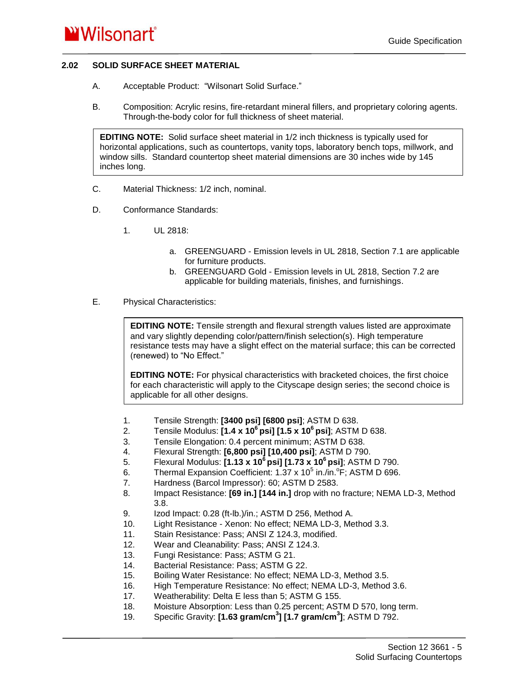# **2.02 SOLID SURFACE SHEET MATERIAL**

- A. Acceptable Product: "Wilsonart Solid Surface."
- B. Composition: Acrylic resins, fire-retardant mineral fillers, and proprietary coloring agents. Through-the-body color for full thickness of sheet material.

**EDITING NOTE:** Solid surface sheet material in 1/2 inch thickness is typically used for horizontal applications, such as countertops, vanity tops, laboratory bench tops, millwork, and window sills. Standard countertop sheet material dimensions are 30 inches wide by 145 inches long.

- C. Material Thickness: 1/2 inch, nominal.
- D. Conformance Standards:
	- 1. UL 2818:
		- a. GREENGUARD Emission levels in UL 2818, Section 7.1 are applicable for furniture products.
		- b. GREENGUARD Gold Emission levels in UL 2818, Section 7.2 are applicable for building materials, finishes, and furnishings.
- E. Physical Characteristics:

**EDITING NOTE:** Tensile strength and flexural strength values listed are approximate and vary slightly depending color/pattern/finish selection(s). High temperature resistance tests may have a slight effect on the material surface; this can be corrected (renewed) to "No Effect."

**EDITING NOTE:** For physical characteristics with bracketed choices, the first choice for each characteristic will apply to the Cityscape design series; the second choice is applicable for all other designs.

- 1. Tensile Strength: **[3400 psi] [6800 psi]**; ASTM D 638.
- 2. Tensile Modulus: **[1.4 x 10<sup>6</sup>psi] [1.5 x 10<sup>6</sup>psi]**; ASTM D 638.
- 3. Tensile Elongation: 0.4 percent minimum; ASTM D 638.
- 4. Flexural Strength: **[6,800 psi] [10,400 psi]**; ASTM D 790.
- 5. Flexural Modulus: **[1.13 x 10<sup>6</sup>psi] [1.73 x 10<sup>6</sup>psi]**; ASTM D 790.
- 6. Thermal Expansion Coefficient: 1.37 x 10 $5$  in./in. $\textdegree$ F; ASTM D 696.
- 7. Hardness (Barcol Impressor): 60; ASTM D 2583.
- 8. Impact Resistance: **[69 in.] [144 in.]** drop with no fracture; NEMA LD-3, Method 3.8.
- 9. Izod Impact: 0.28 (ft-lb.)/in.; ASTM D 256, Method A.
- 10. Light Resistance Xenon: No effect; NEMA LD-3, Method 3.3.
- 11. Stain Resistance: Pass; ANSI Z 124.3, modified.
- 12. Wear and Cleanability: Pass; ANSI Z 124.3.
- 13. Fungi Resistance: Pass; ASTM G 21.
- 14. Bacterial Resistance: Pass; ASTM G 22.
- 15. Boiling Water Resistance: No effect; NEMA LD-3, Method 3.5.
- 16. High Temperature Resistance: No effect; NEMA LD-3, Method 3.6.
- 17. Weatherability: Delta E less than 5; ASTM G 155.
- 18. Moisture Absorption: Less than 0.25 percent; ASTM D 570, long term.
- 19. Specific Gravity: **[1.63 gram/cm<sup>3</sup> ] [1.7 gram/cm<sup>3</sup> ]**; ASTM D 792.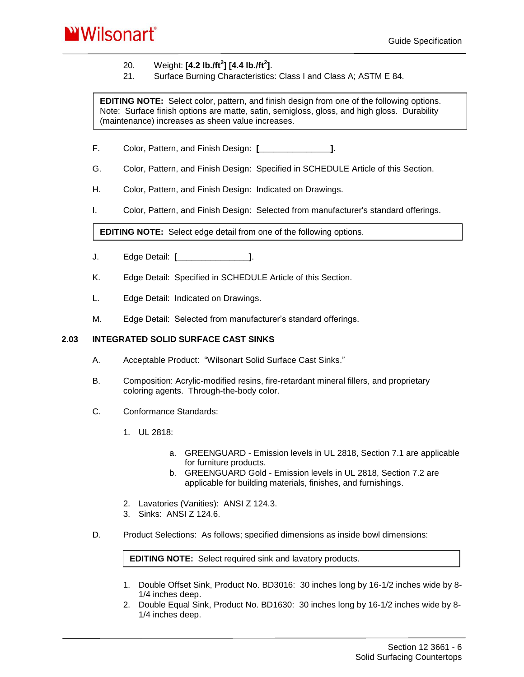

# 20. Weight: **[4.2 lb./ft<sup>2</sup> ] [4.4 lb./ft<sup>2</sup> ]**.

21. Surface Burning Characteristics: Class I and Class A; ASTM E 84.

**EDITING NOTE:** Select color, pattern, and finish design from one of the following options. Note: Surface finish options are matte, satin, semigloss, gloss, and high gloss. Durability (maintenance) increases as sheen value increases.

- F. Color, Pattern, and Finish Design: **[\_\_\_\_\_\_\_\_\_\_\_\_\_\_\_]**.
- G. Color, Pattern, and Finish Design: Specified in SCHEDULE Article of this Section.
- H. Color, Pattern, and Finish Design: Indicated on Drawings.
- I. Color, Pattern, and Finish Design: Selected from manufacturer's standard offerings.

**EDITING NOTE:** Select edge detail from one of the following options.

- J. Edge Detail: **[\_\_\_\_\_\_\_\_\_\_\_\_\_\_\_]**.
- K. Edge Detail: Specified in SCHEDULE Article of this Section.
- L. Edge Detail: Indicated on Drawings.
- M. Edge Detail: Selected from manufacturer's standard offerings.

#### **2.03 INTEGRATED SOLID SURFACE CAST SINKS**

- A. Acceptable Product: "Wilsonart Solid Surface Cast Sinks."
- B. Composition: Acrylic-modified resins, fire-retardant mineral fillers, and proprietary coloring agents. Through-the-body color.
- C. Conformance Standards:
	- 1. UL 2818:
		- a. GREENGUARD Emission levels in UL 2818, Section 7.1 are applicable for furniture products.
		- b. GREENGUARD Gold Emission levels in UL 2818, Section 7.2 are applicable for building materials, finishes, and furnishings.
	- 2. Lavatories (Vanities): ANSI Z 124.3.
	- 3. Sinks: ANSI Z 124.6.
- D. Product Selections: As follows; specified dimensions as inside bowl dimensions:

**EDITING NOTE:** Select required sink and lavatory products.

- 1. Double Offset Sink, Product No. BD3016: 30 inches long by 16-1/2 inches wide by 8- 1/4 inches deep.
- 2. Double Equal Sink, Product No. BD1630: 30 inches long by 16-1/2 inches wide by 8- 1/4 inches deep.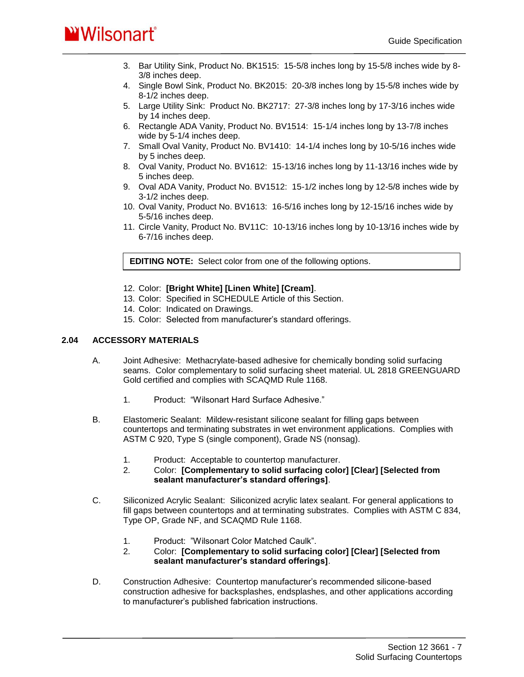# **WWilsonart**<sup>\*</sup>

- 3. Bar Utility Sink, Product No. BK1515: 15-5/8 inches long by 15-5/8 inches wide by 8- 3/8 inches deep.
- 4. Single Bowl Sink, Product No. BK2015: 20-3/8 inches long by 15-5/8 inches wide by 8-1/2 inches deep.
- 5. Large Utility Sink: Product No. BK2717: 27-3/8 inches long by 17-3/16 inches wide by 14 inches deep.
- 6. Rectangle ADA Vanity, Product No. BV1514: 15-1/4 inches long by 13-7/8 inches wide by 5-1/4 inches deep.
- 7. Small Oval Vanity, Product No. BV1410: 14-1/4 inches long by 10-5/16 inches wide by 5 inches deep.
- 8. Oval Vanity, Product No. BV1612: 15-13/16 inches long by 11-13/16 inches wide by 5 inches deep.
- 9. Oval ADA Vanity, Product No. BV1512: 15-1/2 inches long by 12-5/8 inches wide by 3-1/2 inches deep.
- 10. Oval Vanity, Product No. BV1613: 16-5/16 inches long by 12-15/16 inches wide by 5-5/16 inches deep.
- 11. Circle Vanity, Product No. BV11C: 10-13/16 inches long by 10-13/16 inches wide by 6-7/16 inches deep.

**EDITING NOTE:** Select color from one of the following options.

- 12. Color: **[Bright White] [Linen White] [Cream]**.
- 13. Color: Specified in SCHEDULE Article of this Section.
- 14. Color: Indicated on Drawings.
- 15. Color: Selected from manufacturer's standard offerings.

# **2.04 ACCESSORY MATERIALS**

- A. Joint Adhesive: Methacrylate-based adhesive for chemically bonding solid surfacing seams. Color complementary to solid surfacing sheet material. UL 2818 GREENGUARD Gold certified and complies with SCAQMD Rule 1168.
	- 1. Product: "Wilsonart Hard Surface Adhesive."
- B. Elastomeric Sealant: Mildew-resistant silicone sealant for filling gaps between countertops and terminating substrates in wet environment applications. Complies with ASTM C 920, Type S (single component), Grade NS (nonsag).
	- 1. Product: Acceptable to countertop manufacturer.
	- 2. Color: **[Complementary to solid surfacing color] [Clear] [Selected from sealant manufacturer's standard offerings]**.
- C. Siliconized Acrylic Sealant: Siliconized acrylic latex sealant. For general applications to fill gaps between countertops and at terminating substrates. Complies with ASTM C 834, Type OP, Grade NF, and SCAQMD Rule 1168.
	- 1. Product: "Wilsonart Color Matched Caulk".
	- 2. Color: **[Complementary to solid surfacing color] [Clear] [Selected from sealant manufacturer's standard offerings]**.
- D. Construction Adhesive: Countertop manufacturer's recommended silicone-based construction adhesive for backsplashes, endsplashes, and other applications according to manufacturer's published fabrication instructions.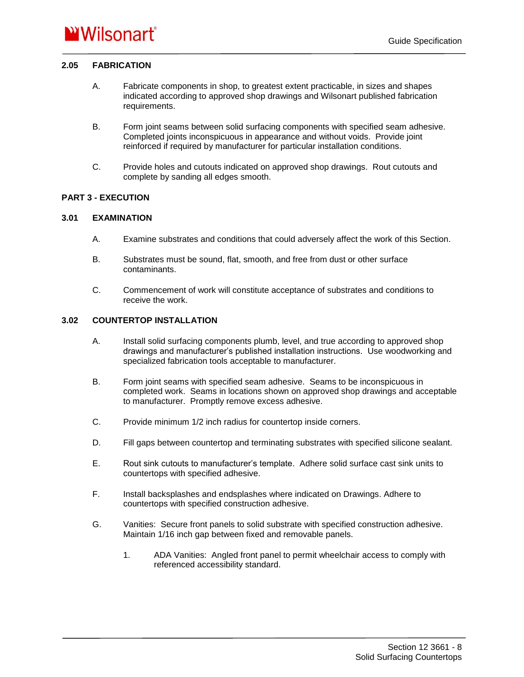## **2.05 FABRICATION**

- A. Fabricate components in shop, to greatest extent practicable, in sizes and shapes indicated according to approved shop drawings and Wilsonart published fabrication requirements.
- B. Form joint seams between solid surfacing components with specified seam adhesive. Completed joints inconspicuous in appearance and without voids. Provide joint reinforced if required by manufacturer for particular installation conditions.
- C. Provide holes and cutouts indicated on approved shop drawings. Rout cutouts and complete by sanding all edges smooth.

## **PART 3 - EXECUTION**

## **3.01 EXAMINATION**

- A. Examine substrates and conditions that could adversely affect the work of this Section.
- B. Substrates must be sound, flat, smooth, and free from dust or other surface contaminants.
- C. Commencement of work will constitute acceptance of substrates and conditions to receive the work.

# **3.02 COUNTERTOP INSTALLATION**

- A. Install solid surfacing components plumb, level, and true according to approved shop drawings and manufacturer's published installation instructions. Use woodworking and specialized fabrication tools acceptable to manufacturer.
- B. Form joint seams with specified seam adhesive. Seams to be inconspicuous in completed work. Seams in locations shown on approved shop drawings and acceptable to manufacturer. Promptly remove excess adhesive.
- C. Provide minimum 1/2 inch radius for countertop inside corners.
- D. Fill gaps between countertop and terminating substrates with specified silicone sealant.
- E. Rout sink cutouts to manufacturer's template. Adhere solid surface cast sink units to countertops with specified adhesive.
- F. Install backsplashes and endsplashes where indicated on Drawings. Adhere to countertops with specified construction adhesive.
- G. Vanities: Secure front panels to solid substrate with specified construction adhesive. Maintain 1/16 inch gap between fixed and removable panels.
	- 1. ADA Vanities: Angled front panel to permit wheelchair access to comply with referenced accessibility standard.